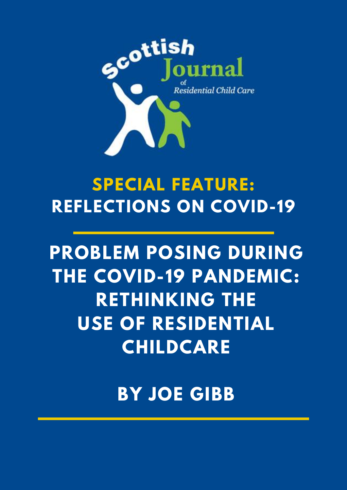

# **SPECIAL FEATURE: REFLECTIONS ON COVID-19**

# **PROBLEM POSING DURING THE COVID-19 PANDEMIC: RETHINKING THE USE OF RESIDENTIAL CHILDCARE**

**BY JOE GIBB**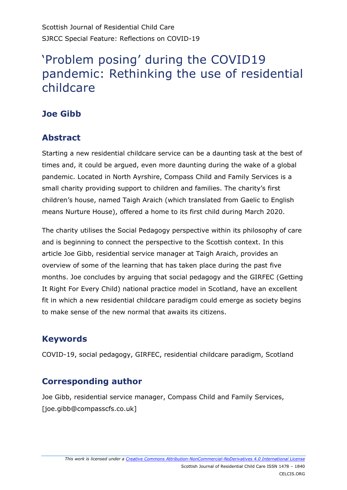Scottish Journal of Residential Child Care SJRCC Special Feature: Reflections on COVID-19

# 'Problem posing' during the COVID19 pandemic: Rethinking the use of residential childcare

## **Joe Gibb**

#### **Abstract**

Starting a new residential childcare service can be a daunting task at the best of times and, it could be argued, even more daunting during the wake of a global pandemic. Located in North Ayrshire, Compass Child and Family Services is a small charity providing support to children and families. The charity's first children's house, named Taigh Araich (which translated from Gaelic to English means Nurture House), offered a home to its first child during March 2020.

The charity utilises the Social Pedagogy perspective within its philosophy of care and is beginning to connect the perspective to the Scottish context. In this article Joe Gibb, residential service manager at Taigh Araich, provides an overview of some of the learning that has taken place during the past five months. Joe concludes by arguing that social pedagogy and the GIRFEC (Getting It Right For Every Child) national practice model in Scotland, have an excellent fit in which a new residential childcare paradigm could emerge as society begins to make sense of the new normal that awaits its citizens.

#### **Keywords**

COVID-19, social pedagogy, GIRFEC, residential childcare paradigm, Scotland

#### **Corresponding author**

Joe Gibb, residential service manager, Compass Child and Family Services, [joe.gibb@compasscfs.co.uk]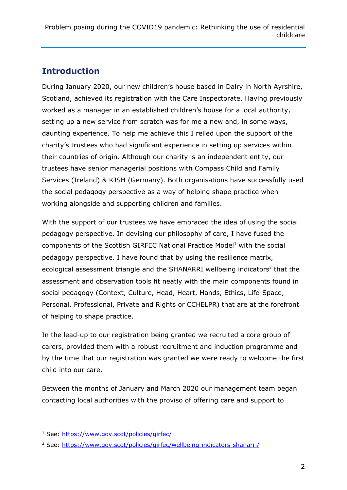## **Introduction**

During January 2020, our new children's house based in Dalry in North Ayrshire, Scotland, achieved its registration with the Care Inspectorate. Having previously worked as a manager in an established children's house for a local authority, setting up a new service from scratch was for me a new and, in some ways, daunting experience. To help me achieve this I relied upon the support of the charity's trustees who had significant experience in setting up services within their countries of origin. Although our charity is an independent entity, our trustees have senior managerial positions with Compass Child and Family Services (Ireland) & KJSH (Germany). Both organisations have successfully used the social pedagogy perspective as a way of helping shape practice when working alongside and supporting children and families.

With the support of our trustees we have embraced the idea of using the social pedagogy perspective. In devising our philosophy of care, I have fused the components of the Scottish GIRFEC National Practice Model $<sup>1</sup>$  with the social</sup> pedagogy perspective. I have found that by using the resilience matrix, ecological assessment triangle and the SHANARRI wellbeing indicators<sup>2</sup> that the assessment and observation tools fit neatly with the main components found in social pedagogy (Context, Culture, Head, Heart, Hands, Ethics, Life-Space, Personal, Professional, Private and Rights or CCHELPR) that are at the forefront of helping to shape practice.

In the lead-up to our registration being granted we recruited a core group of carers, provided them with a robust recruitment and induction programme and by the time that our registration was granted we were ready to welcome the first child into our care.

Between the months of January and March 2020 our management team began contacting local authorities with the proviso of offering care and support to

-

<sup>1</sup> See:<https://www.gov.scot/policies/girfec/>

<sup>2</sup> See:<https://www.gov.scot/policies/girfec/wellbeing-indicators-shanarri/>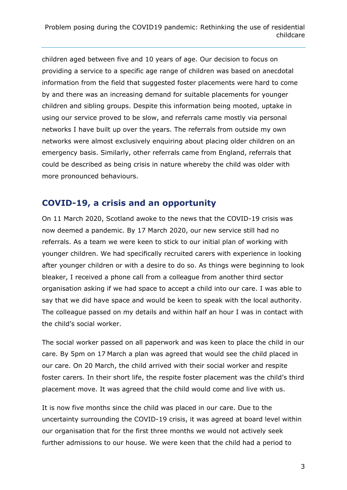children aged between five and 10 years of age. Our decision to focus on providing a service to a specific age range of children was based on anecdotal information from the field that suggested foster placements were hard to come by and there was an increasing demand for suitable placements for younger children and sibling groups. Despite this information being mooted, uptake in using our service proved to be slow, and referrals came mostly via personal networks I have built up over the years. The referrals from outside my own networks were almost exclusively enquiring about placing older children on an emergency basis. Similarly, other referrals came from England, referrals that could be described as being crisis in nature whereby the child was older with more pronounced behaviours.

#### **COVID-19, a crisis and an opportunity**

On 11 March 2020, Scotland awoke to the news that the COVID-19 crisis was now deemed a pandemic. By 17 March 2020, our new service still had no referrals. As a team we were keen to stick to our initial plan of working with younger children. We had specifically recruited carers with experience in looking after younger children or with a desire to do so. As things were beginning to look bleaker, I received a phone call from a colleague from another third sector organisation asking if we had space to accept a child into our care. I was able to say that we did have space and would be keen to speak with the local authority. The colleague passed on my details and within half an hour I was in contact with the child's social worker.

The social worker passed on all paperwork and was keen to place the child in our care. By 5pm on 17 March a plan was agreed that would see the child placed in our care. On 20 March, the child arrived with their social worker and respite foster carers. In their short life, the respite foster placement was the child's third placement move. It was agreed that the child would come and live with us.

It is now five months since the child was placed in our care. Due to the uncertainty surrounding the COVID-19 crisis, it was agreed at board level within our organisation that for the first three months we would not actively seek further admissions to our house. We were keen that the child had a period to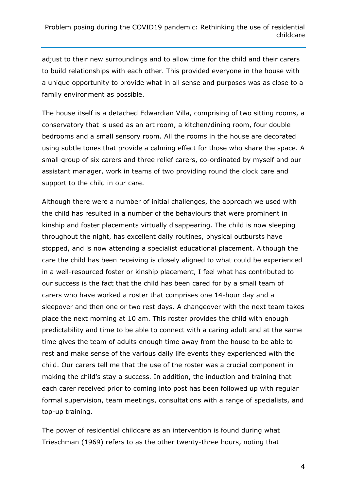adjust to their new surroundings and to allow time for the child and their carers to build relationships with each other. This provided everyone in the house with a unique opportunity to provide what in all sense and purposes was as close to a family environment as possible.

The house itself is a detached Edwardian Villa, comprising of two sitting rooms, a conservatory that is used as an art room, a kitchen/dining room, four double bedrooms and a small sensory room. All the rooms in the house are decorated using subtle tones that provide a calming effect for those who share the space. A small group of six carers and three relief carers, co-ordinated by myself and our assistant manager, work in teams of two providing round the clock care and support to the child in our care.

Although there were a number of initial challenges, the approach we used with the child has resulted in a number of the behaviours that were prominent in kinship and foster placements virtually disappearing. The child is now sleeping throughout the night, has excellent daily routines, physical outbursts have stopped, and is now attending a specialist educational placement. Although the care the child has been receiving is closely aligned to what could be experienced in a well-resourced foster or kinship placement, I feel what has contributed to our success is the fact that the child has been cared for by a small team of carers who have worked a roster that comprises one 14-hour day and a sleepover and then one or two rest days. A changeover with the next team takes place the next morning at 10 am. This roster provides the child with enough predictability and time to be able to connect with a caring adult and at the same time gives the team of adults enough time away from the house to be able to rest and make sense of the various daily life events they experienced with the child. Our carers tell me that the use of the roster was a crucial component in making the child's stay a success. In addition, the induction and training that each carer received prior to coming into post has been followed up with regular formal supervision, team meetings, consultations with a range of specialists, and top-up training.

The power of residential childcare as an intervention is found during what Trieschman (1969) refers to as the other twenty-three hours, noting that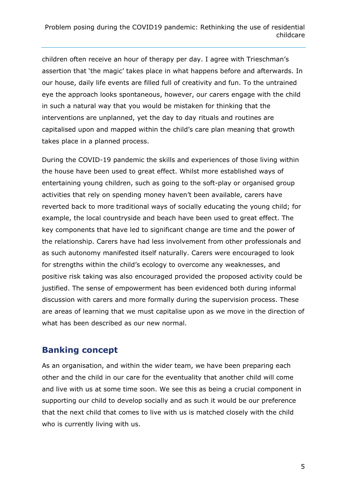children often receive an hour of therapy per day. I agree with Trieschman's assertion that 'the magic' takes place in what happens before and afterwards. In our house, daily life events are filled full of creativity and fun. To the untrained eye the approach looks spontaneous, however, our carers engage with the child in such a natural way that you would be mistaken for thinking that the interventions are unplanned, yet the day to day rituals and routines are capitalised upon and mapped within the child's care plan meaning that growth takes place in a planned process.

During the COVID-19 pandemic the skills and experiences of those living within the house have been used to great effect. Whilst more established ways of entertaining young children, such as going to the soft-play or organised group activities that rely on spending money haven't been available, carers have reverted back to more traditional ways of socially educating the young child; for example, the local countryside and beach have been used to great effect. The key components that have led to significant change are time and the power of the relationship. Carers have had less involvement from other professionals and as such autonomy manifested itself naturally. Carers were encouraged to look for strengths within the child's ecology to overcome any weaknesses, and positive risk taking was also encouraged provided the proposed activity could be justified. The sense of empowerment has been evidenced both during informal discussion with carers and more formally during the supervision process. These are areas of learning that we must capitalise upon as we move in the direction of what has been described as our new normal.

#### **Banking concept**

As an organisation, and within the wider team, we have been preparing each other and the child in our care for the eventuality that another child will come and live with us at some time soon. We see this as being a crucial component in supporting our child to develop socially and as such it would be our preference that the next child that comes to live with us is matched closely with the child who is currently living with us.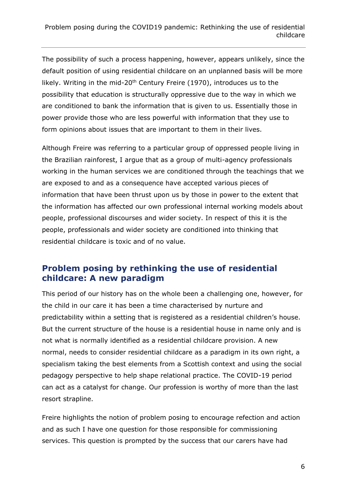The possibility of such a process happening, however, appears unlikely, since the default position of using residential childcare on an unplanned basis will be more likely. Writing in the mid-20<sup>th</sup> Century Freire (1970), introduces us to the possibility that education is structurally oppressive due to the way in which we are conditioned to bank the information that is given to us. Essentially those in power provide those who are less powerful with information that they use to form opinions about issues that are important to them in their lives.

Although Freire was referring to a particular group of oppressed people living in the Brazilian rainforest, I argue that as a group of multi-agency professionals working in the human services we are conditioned through the teachings that we are exposed to and as a consequence have accepted various pieces of information that have been thrust upon us by those in power to the extent that the information has affected our own professional internal working models about people, professional discourses and wider society. In respect of this it is the people, professionals and wider society are conditioned into thinking that residential childcare is toxic and of no value.

#### **Problem posing by rethinking the use of residential childcare: A new paradigm**

This period of our history has on the whole been a challenging one, however, for the child in our care it has been a time characterised by nurture and predictability within a setting that is registered as a residential children's house. But the current structure of the house is a residential house in name only and is not what is normally identified as a residential childcare provision. A new normal, needs to consider residential childcare as a paradigm in its own right, a specialism taking the best elements from a Scottish context and using the social pedagogy perspective to help shape relational practice. The COVID-19 period can act as a catalyst for change. Our profession is worthy of more than the last resort strapline.

Freire highlights the notion of problem posing to encourage refection and action and as such I have one question for those responsible for commissioning services. This question is prompted by the success that our carers have had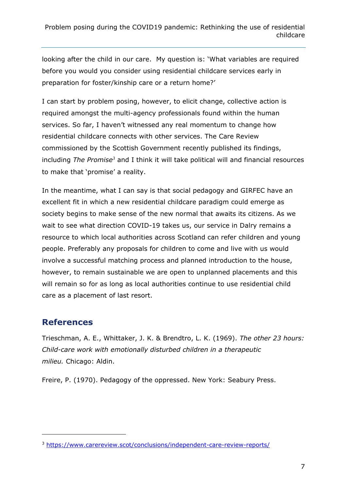looking after the child in our care. My question is: 'What variables are required before you would you consider using residential childcare services early in preparation for foster/kinship care or a return home?'

I can start by problem posing, however, to elicit change, collective action is required amongst the multi-agency professionals found within the human services. So far, I haven't witnessed any real momentum to change how residential childcare connects with other services. The Care Review commissioned by the Scottish Government recently published its findings, including *The Promise<sup>3</sup>* and I think it will take political will and financial resources to make that 'promise' a reality.

In the meantime, what I can say is that social pedagogy and GIRFEC have an excellent fit in which a new residential childcare paradigm could emerge as society begins to make sense of the new normal that awaits its citizens. As we wait to see what direction COVID-19 takes us, our service in Dalry remains a resource to which local authorities across Scotland can refer children and young people. Preferably any proposals for children to come and live with us would involve a successful matching process and planned introduction to the house, however, to remain sustainable we are open to unplanned placements and this will remain so for as long as local authorities continue to use residential child care as a placement of last resort.

#### **References**

-

Trieschman, A. E., Whittaker, J. K. & Brendtro, L. K. (1969). *The other 23 hours: Child-care work with emotionally disturbed children in a therapeutic milieu.* Chicago: Aldin.

Freire, P. (1970). Pedagogy of the oppressed. New York: Seabury Press.

<sup>3</sup> <https://www.carereview.scot/conclusions/independent-care-review-reports/>